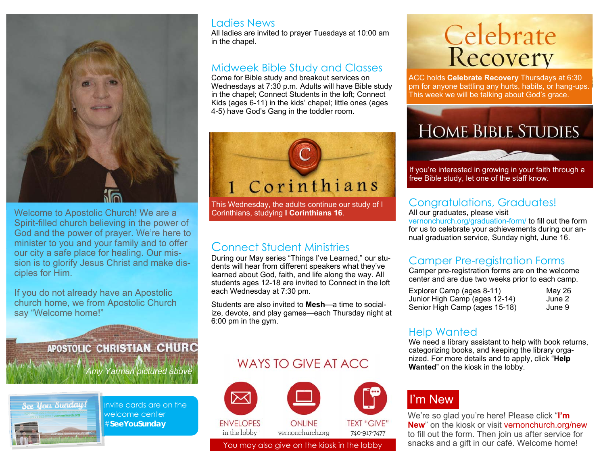

Welcome to Apostolic Church! We are a Spirit-filled church believing in the power of God and the power of prayer. We're here to minister to you and your family and to offer our city a safe place for healing. Our mission is to glorify Jesus Christ and make disciples for Him.

If you do not already have an Apostolic church home, we from Apostolic Church say "Welcome home!"

> APOSTOLIC CHRISTIAN CHURC *Amy Yarman pictured above*



Invite cards are on the welcome center #**SeeYouSunday** 

#### Ladies News

All ladies are invited to prayer Tuesdays at 10:00 am in the chapel.

#### Midweek Bible Study and Classes

Come for Bible study and breakout services on Wednesdays at 7:30 p.m. Adults will have Bible study in the chapel; Connect Students in the loft; Connect Kids (ages 6-11) in the kids' chapel; little ones (ages 4-5) have God's Gang in the toddler room.



This Wednesday, the adults continue our study of I Corinthians, studying **I Corinthians 16**.

#### Connect Student Ministries

During our May series "Things I've Learned," our students will hear from different speakers what they've learned about God, faith, and life along the way. All students ages 12-18 are invited to Connect in the loft each Wednesday at 7:30 pm.

Students are also invited to **Mesh**—a time to socialize, devote, and play games—each Thursday night at 6:00 pm in the gym.

#### WAYS TO GIVE AT ACC.



# **Celebrate**<br>Recovery

ACC holds **Celebrate Recovery** Thursdays at 6:30 pm for anyone battling any hurts, habits, or hang-ups. This week we will be talking about God's grace.



If you're interested in growing in your faith through a free Bible study, let one of the staff know.

#### Congratulations, Graduates!

All our graduates, please visit

vernonchurch.org/graduation-form/ to fill out the form for us to celebrate your achievements during our annual graduation service, Sunday night, June 16.

#### Camper Pre-registration Forms

Camper pre-registration forms are on the welcome center and are due two weeks prior to each camp.

| Explorer Camp (ages 8-11)     | May 26 |
|-------------------------------|--------|
| Junior High Camp (ages 12-14) | June 2 |
| Senior High Camp (ages 15-18) | June 9 |

#### Help Wanted

We need a library assistant to help with book returns, categorizing books, and keeping the library organized. For more details and to apply, click "**Help Wanted**" on the kiosk in the lobby.

## I'm New

We're so glad you're here! Please click "**I'm New**" on the kiosk or visit vernonchurch.org/new to fill out the form. Then join us after service for You may also give on the kiosk in the lobby snacks and a gift in our café. Welcome home!